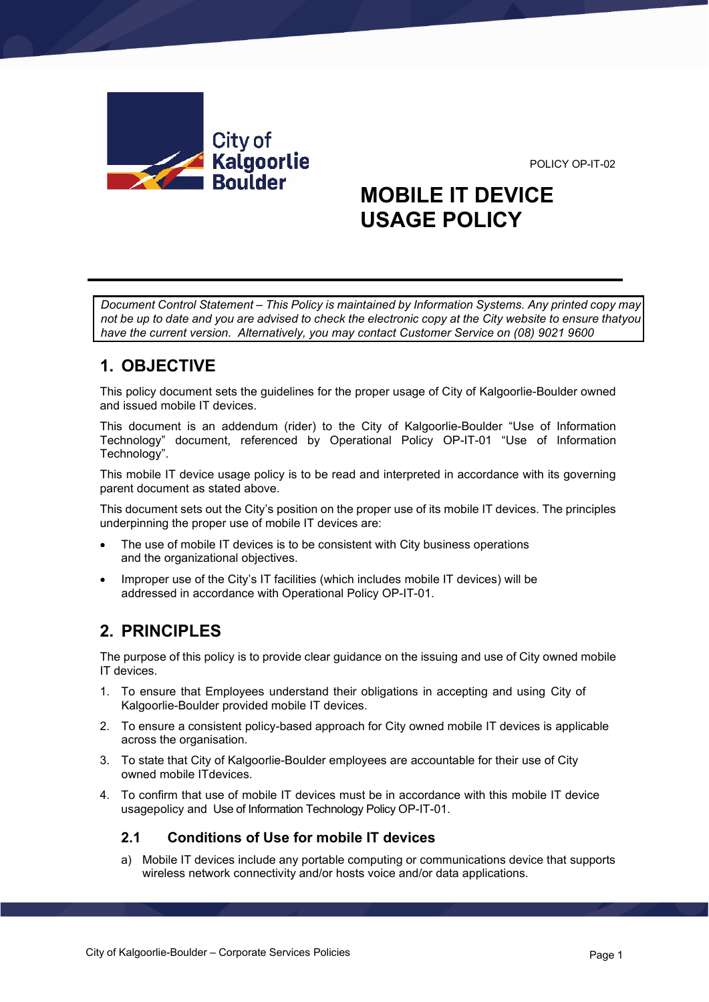POLICY OP-IT-02



# **MOBILE IT DEVICE USAGE POLICY**

*Document Control Statement – This Policy is maintained by Information Systems. Any printed copy may not be up to date and you are advised to check the electronic copy at the City website to ensure thatyou have the current version. Alternatively, you may contact Customer Service on (08) 9021 9600*

# **1. OBJECTIVE**

This policy document sets the guidelines for the proper usage of City of Kalgoorlie-Boulder owned and issued mobile IT devices.

This document is an addendum (rider) to the City of Kalgoorlie-Boulder "Use of Information Technology" document, referenced by Operational Policy OP-IT-01 "Use of Information Technology".

This mobile IT device usage policy is to be read and interpreted in accordance with its governing parent document as stated above.

This document sets out the City's position on the proper use of its mobile IT devices. The principles underpinning the proper use of mobile IT devices are:

- The use of mobile IT devices is to be consistent with City business operations and the organizational objectives.
- Improper use of the City's IT facilities (which includes mobile IT devices) will be addressed in accordance with Operational Policy OP-IT-01.

# **2. PRINCIPLES**

The purpose of this policy is to provide clear guidance on the issuing and use of City owned mobile IT devices.

- 1. To ensure that Employees understand their obligations in accepting and using City of Kalgoorlie-Boulder provided mobile IT devices.
- 2. To ensure a consistent policy-based approach for City owned mobile IT devices is applicable across the organisation.
- 3. To state that City of Kalgoorlie-Boulder employees are accountable for their use of City owned mobile ITdevices.
- 4. To confirm that use of mobile IT devices must be in accordance with this mobile IT device usagepolicy and Use of Information Technology Policy OP-IT-01.

#### **2.1 Conditions of Use for mobile IT devices**

a) Mobile IT devices include any portable computing or communications device that supports wireless network connectivity and/or hosts voice and/or data applications.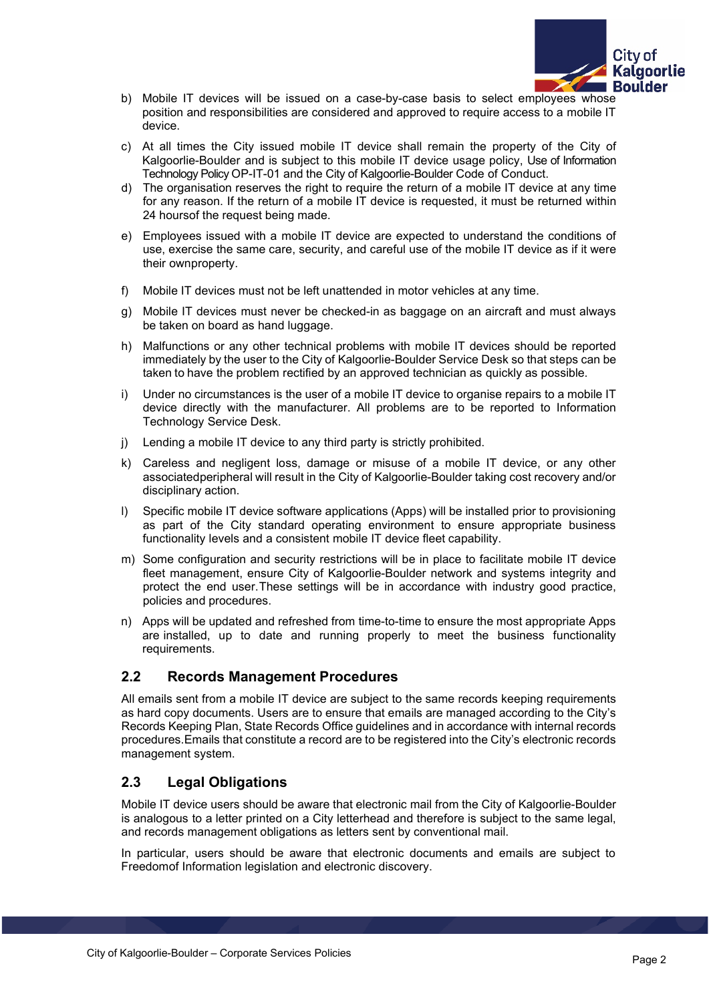

- b) Mobile IT devices will be issued on a case-by-case basis to select employees whose position and responsibilities are considered and approved to require access to a mobile IT device.
- c) At all times the City issued mobile IT device shall remain the property of the City of Kalgoorlie-Boulder and is subject to this mobile IT device usage policy, Use of Information Technology Policy OP-IT-01 and the City of Kalgoorlie-Boulder Code of Conduct.
- d) The organisation reserves the right to require the return of a mobile IT device at any time for any reason. If the return of a mobile IT device is requested, it must be returned within 24 hoursof the request being made.
- e) Employees issued with a mobile IT device are expected to understand the conditions of use, exercise the same care, security, and careful use of the mobile IT device as if it were their ownproperty.
- f) Mobile IT devices must not be left unattended in motor vehicles at any time.
- g) Mobile IT devices must never be checked-in as baggage on an aircraft and must always be taken on board as hand luggage.
- h) Malfunctions or any other technical problems with mobile IT devices should be reported immediately by the user to the City of Kalgoorlie-Boulder Service Desk so that steps can be taken to have the problem rectified by an approved technician as quickly as possible.
- i) Under no circumstances is the user of a mobile IT device to organise repairs to a mobile IT device directly with the manufacturer. All problems are to be reported to Information Technology Service Desk.
- j) Lending a mobile IT device to any third party is strictly prohibited.
- k) Careless and negligent loss, damage or misuse of a mobile IT device, or any other associatedperipheral will result in the City of Kalgoorlie-Boulder taking cost recovery and/or disciplinary action.
- l) Specific mobile IT device software applications (Apps) will be installed prior to provisioning as part of the City standard operating environment to ensure appropriate business functionality levels and a consistent mobile IT device fleet capability.
- m) Some configuration and security restrictions will be in place to facilitate mobile IT device fleet management, ensure City of Kalgoorlie-Boulder network and systems integrity and protect the end user.These settings will be in accordance with industry good practice, policies and procedures.
- n) Apps will be updated and refreshed from time-to-time to ensure the most appropriate Apps are installed, up to date and running properly to meet the business functionality requirements.

#### **2.2 Records Management Procedures**

All emails sent from a mobile IT device are subject to the same records keeping requirements as hard copy documents. Users are to ensure that emails are managed according to the City's Records Keeping Plan, State Records Office guidelines and in accordance with internal records procedures.Emails that constitute a record are to be registered into the City's electronic records management system.

#### **2.3 Legal Obligations**

Mobile IT device users should be aware that electronic mail from the City of Kalgoorlie-Boulder is analogous to a letter printed on a City letterhead and therefore is subject to the same legal, and records management obligations as letters sent by conventional mail.

In particular, users should be aware that electronic documents and emails are subject to Freedomof Information legislation and electronic discovery.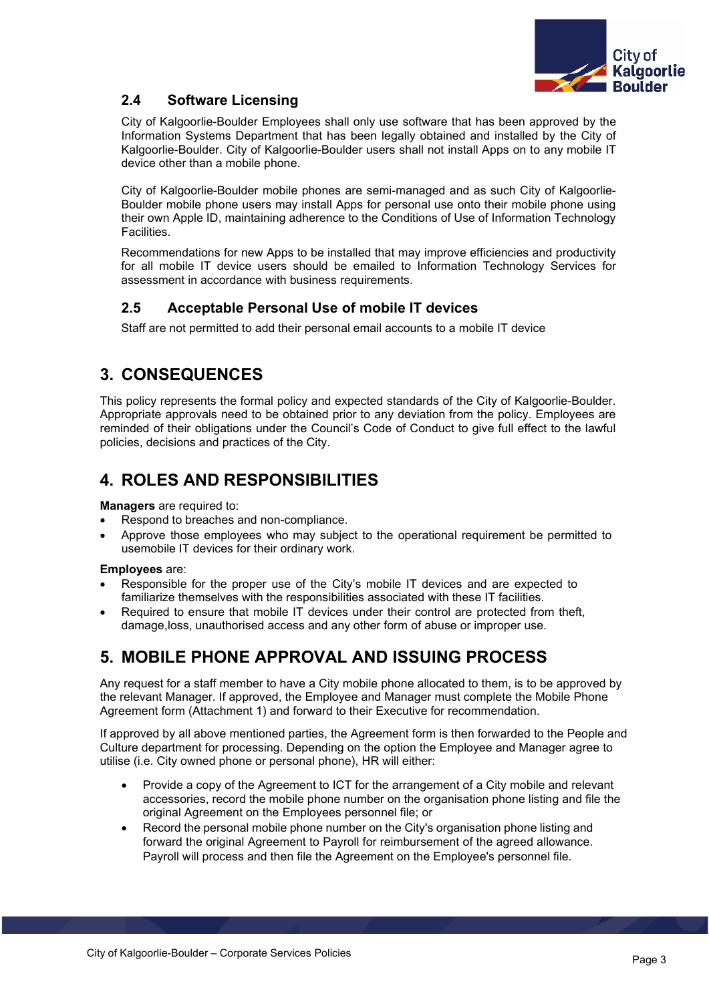

#### **2.4 Software Licensing**

City of Kalgoorlie-Boulder Employees shall only use software that has been approved by the Information Systems Department that has been legally obtained and installed by the City of Kalgoorlie-Boulder. City of Kalgoorlie-Boulder users shall not install Apps on to any mobile IT device other than a mobile phone.

City of Kalgoorlie-Boulder mobile phones are semi-managed and as such City of Kalgoorlie-Boulder mobile phone users may install Apps for personal use onto their mobile phone using their own Apple ID, maintaining adherence to the Conditions of Use of Information Technology **Facilities** 

Recommendations for new Apps to be installed that may improve efficiencies and productivity for all mobile IT device users should be emailed to Information Technology Services for assessment in accordance with business requirements.

#### **2.5 Acceptable Personal Use of mobile IT devices**

Staff are not permitted to add their personal email accounts to a mobile IT device

# **3. CONSEQUENCES**

This policy represents the formal policy and expected standards of the City of Kalgoorlie-Boulder. Appropriate approvals need to be obtained prior to any deviation from the policy. Employees are reminded of their obligations under the Council's Code of Conduct to give full effect to the lawful policies, decisions and practices of the City.

### **4. ROLES AND RESPONSIBILITIES**

**Managers** are required to:

- Respond to breaches and non-compliance.
- Approve those employees who may subject to the operational requirement be permitted to usemobile IT devices for their ordinary work.

#### **Employees** are:

- Responsible for the proper use of the City's mobile IT devices and are expected to familiarize themselves with the responsibilities associated with these IT facilities.
- Required to ensure that mobile IT devices under their control are protected from theft, damage,loss, unauthorised access and any other form of abuse or improper use.

### **5. MOBILE PHONE APPROVAL AND ISSUING PROCESS**

Any request for a staff member to have a City mobile phone allocated to them, is to be approved by the relevant Manager. If approved, the Employee and Manager must complete the Mobile Phone Agreement form (Attachment 1) and forward to their Executive for recommendation.

If approved by all above mentioned parties, the Agreement form is then forwarded to the People and Culture department for processing. Depending on the option the Employee and Manager agree to utilise (i.e. City owned phone or personal phone), HR will either:

- Provide a copy of the Agreement to ICT for the arrangement of a City mobile and relevant accessories, record the mobile phone number on the organisation phone listing and file the original Agreement on the Employees personnel file; or
- Record the personal mobile phone number on the City's organisation phone listing and forward the original Agreement to Payroll for reimbursement of the agreed allowance. Payroll will process and then file the Agreement on the Employee's personnel file.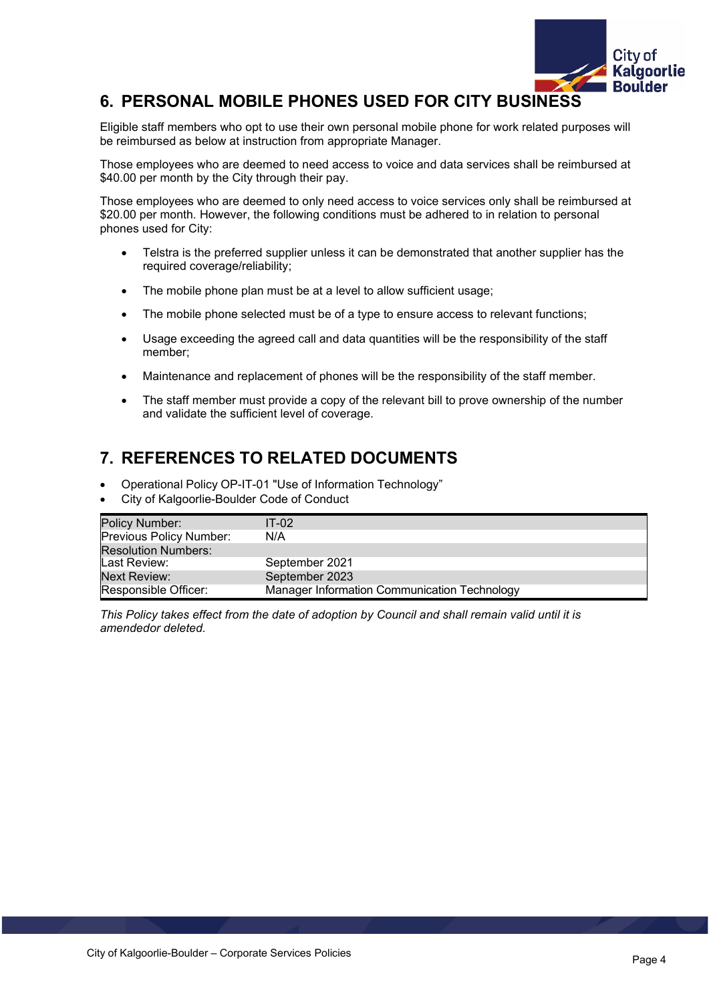

### **6. PERSONAL MOBILE PHONES USED FOR CITY BUSINESS**

Eligible staff members who opt to use their own personal mobile phone for work related purposes will be reimbursed as below at instruction from appropriate Manager.

Those employees who are deemed to need access to voice and data services shall be reimbursed at \$40.00 per month by the City through their pay.

Those employees who are deemed to only need access to voice services only shall be reimbursed at \$20.00 per month. However, the following conditions must be adhered to in relation to personal phones used for City:

- Telstra is the preferred supplier unless it can be demonstrated that another supplier has the required coverage/reliability;
- The mobile phone plan must be at a level to allow sufficient usage;
- The mobile phone selected must be of a type to ensure access to relevant functions;
- Usage exceeding the agreed call and data quantities will be the responsibility of the staff member;
- Maintenance and replacement of phones will be the responsibility of the staff member.
- The staff member must provide a copy of the relevant bill to prove ownership of the number and validate the sufficient level of coverage.

# **7. REFERENCES TO RELATED DOCUMENTS**

- Operational Policy OP-IT-01 "Use of Information Technology"
- City of Kalgoorlie-Boulder Code of Conduct

| Policy Number:             | $IT-02$                                      |
|----------------------------|----------------------------------------------|
| Previous Policy Number:    | N/A                                          |
| <b>Resolution Numbers:</b> |                                              |
| Last Review:               | September 2021                               |
| Next Review:               | September 2023                               |
| Responsible Officer:       | Manager Information Communication Technology |

*This Policy takes effect from the date of adoption by Council and shall remain valid until it is amendedor deleted.*